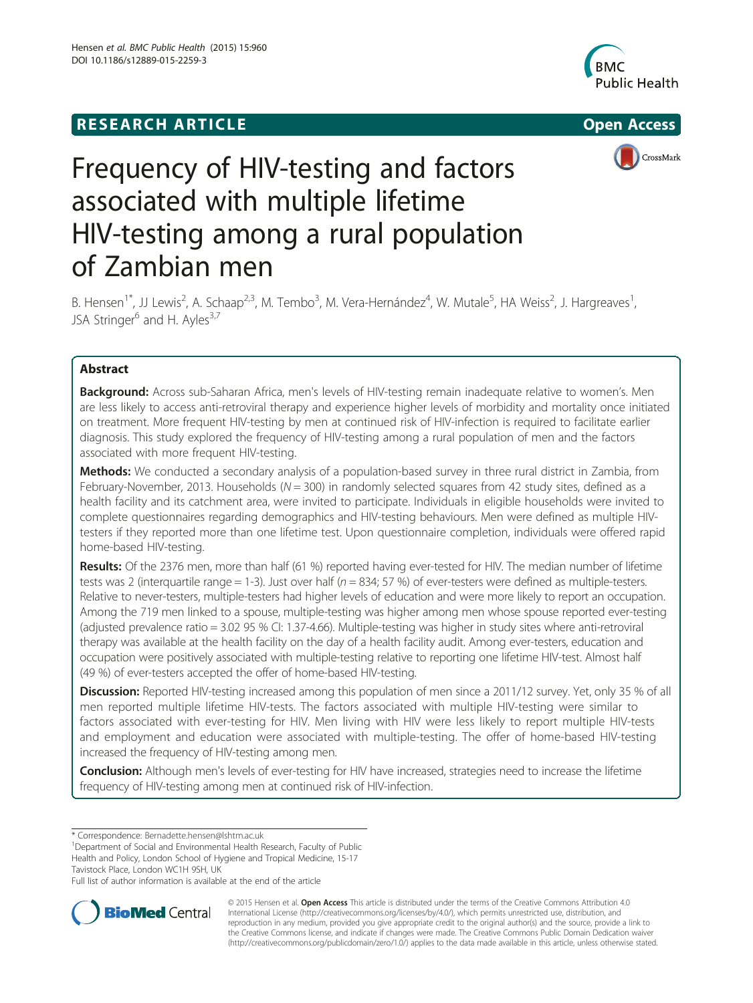## **RESEARCH ARTICLE Example 2014 CONSIDERING CONSIDERING CONSIDERING CONSIDERING CONSIDERING CONSIDERING CONSIDERING CONSIDERING CONSIDERING CONSIDERING CONSIDERING CONSIDERING CONSIDERING CONSIDERING CONSIDERING CONSIDE**







# Frequency of HIV-testing and factors associated with multiple lifetime HIV-testing among a rural population of Zambian men

B. Hensen<sup>1\*</sup>, JJ Lewis<sup>2</sup>, A. Schaap<sup>2,3</sup>, M. Tembo<sup>3</sup>, M. Vera-Hernández<sup>4</sup>, W. Mutale<sup>5</sup>, HA Weiss<sup>2</sup>, J. Hargreaves<sup>1</sup> , JSA Stringer<sup>6</sup> and H. Ayles<sup>3,7</sup>

## Abstract

Background: Across sub-Saharan Africa, men's levels of HIV-testing remain inadequate relative to women's. Men are less likely to access anti-retroviral therapy and experience higher levels of morbidity and mortality once initiated on treatment. More frequent HIV-testing by men at continued risk of HIV-infection is required to facilitate earlier diagnosis. This study explored the frequency of HIV-testing among a rural population of men and the factors associated with more frequent HIV-testing.

Methods: We conducted a secondary analysis of a population-based survey in three rural district in Zambia, from February-November, 2013. Households ( $N = 300$ ) in randomly selected squares from 42 study sites, defined as a health facility and its catchment area, were invited to participate. Individuals in eligible households were invited to complete questionnaires regarding demographics and HIV-testing behaviours. Men were defined as multiple HIVtesters if they reported more than one lifetime test. Upon questionnaire completion, individuals were offered rapid home-based HIV-testing.

Results: Of the 2376 men, more than half (61 %) reported having ever-tested for HIV. The median number of lifetime tests was 2 (interquartile range = 1-3). Just over half ( $n = 834$ ; 57 %) of ever-testers were defined as multiple-testers. Relative to never-testers, multiple-testers had higher levels of education and were more likely to report an occupation. Among the 719 men linked to a spouse, multiple-testing was higher among men whose spouse reported ever-testing (adjusted prevalence ratio = 3.02 95 % CI: 1.37-4.66). Multiple-testing was higher in study sites where anti-retroviral therapy was available at the health facility on the day of a health facility audit. Among ever-testers, education and occupation were positively associated with multiple-testing relative to reporting one lifetime HIV-test. Almost half (49 %) of ever-testers accepted the offer of home-based HIV-testing.

Discussion: Reported HIV-testing increased among this population of men since a 2011/12 survey. Yet, only 35 % of all men reported multiple lifetime HIV-tests. The factors associated with multiple HIV-testing were similar to factors associated with ever-testing for HIV. Men living with HIV were less likely to report multiple HIV-tests and employment and education were associated with multiple-testing. The offer of home-based HIV-testing increased the frequency of HIV-testing among men.

**Conclusion:** Although men's levels of ever-testing for HIV have increased, strategies need to increase the lifetime frequency of HIV-testing among men at continued risk of HIV-infection.

\* Correspondence: [Bernadette.hensen@lshtm.ac.uk](mailto:Bernadette.hensen@lshtm.ac.uk) <sup>1</sup>

Department of Social and Environmental Health Research, Faculty of Public Health and Policy, London School of Hygiene and Tropical Medicine, 15-17 Tavistock Place, London WC1H 9SH, UK

Full list of author information is available at the end of the article



© 2015 Hensen et al. Open Access This article is distributed under the terms of the Creative Commons Attribution 4.0 International License [\(http://creativecommons.org/licenses/by/4.0/](http://creativecommons.org/licenses/by/4.0/)), which permits unrestricted use, distribution, and reproduction in any medium, provided you give appropriate credit to the original author(s) and the source, provide a link to the Creative Commons license, and indicate if changes were made. The Creative Commons Public Domain Dedication waiver [\(http://creativecommons.org/publicdomain/zero/1.0/](http://creativecommons.org/publicdomain/zero/1.0/)) applies to the data made available in this article, unless otherwise stated.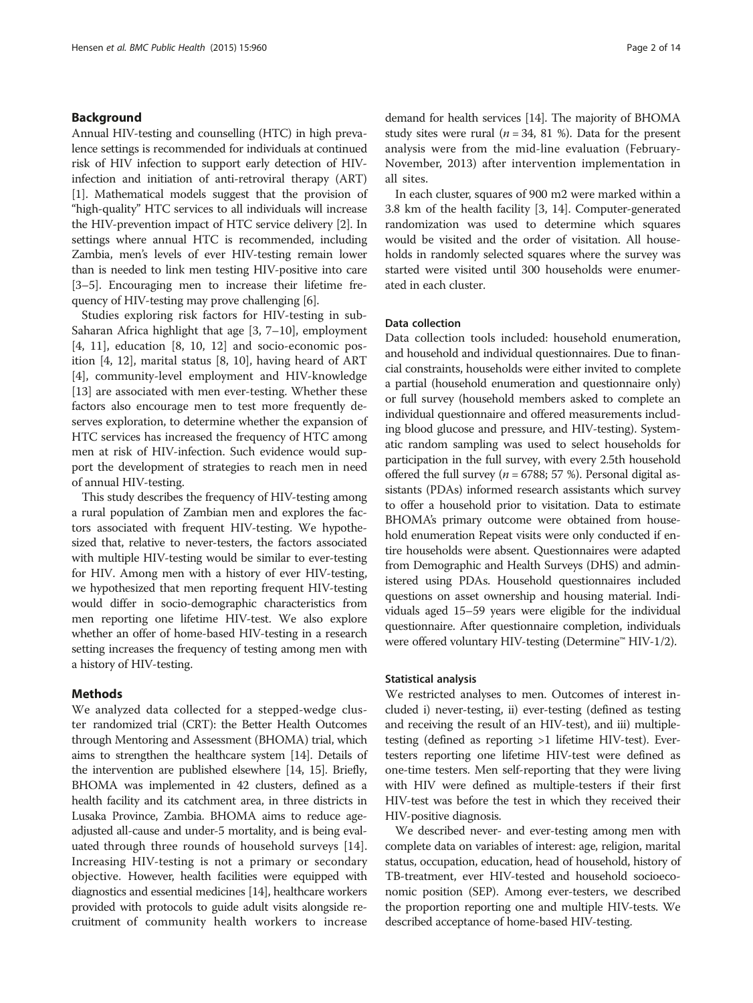## Background

Annual HIV-testing and counselling (HTC) in high prevalence settings is recommended for individuals at continued risk of HIV infection to support early detection of HIVinfection and initiation of anti-retroviral therapy (ART) [[1\]](#page-12-0). Mathematical models suggest that the provision of "high-quality" HTC services to all individuals will increase the HIV-prevention impact of HTC service delivery [\[2](#page-12-0)]. In settings where annual HTC is recommended, including Zambia, men's levels of ever HIV-testing remain lower than is needed to link men testing HIV-positive into care [[3](#page-12-0)–[5](#page-12-0)]. Encouraging men to increase their lifetime frequency of HIV-testing may prove challenging [[6](#page-12-0)].

Studies exploring risk factors for HIV-testing in sub-Saharan Africa highlight that age [[3, 7](#page-12-0)–[10\]](#page-12-0), employment [[4, 11](#page-12-0)], education [[8, 10](#page-12-0), [12\]](#page-12-0) and socio-economic position [\[4](#page-12-0), [12\]](#page-12-0), marital status [[8, 10](#page-12-0)], having heard of ART [[4\]](#page-12-0), community-level employment and HIV-knowledge [[13\]](#page-12-0) are associated with men ever-testing. Whether these factors also encourage men to test more frequently deserves exploration, to determine whether the expansion of HTC services has increased the frequency of HTC among men at risk of HIV-infection. Such evidence would support the development of strategies to reach men in need of annual HIV-testing.

This study describes the frequency of HIV-testing among a rural population of Zambian men and explores the factors associated with frequent HIV-testing. We hypothesized that, relative to never-testers, the factors associated with multiple HIV-testing would be similar to ever-testing for HIV. Among men with a history of ever HIV-testing, we hypothesized that men reporting frequent HIV-testing would differ in socio-demographic characteristics from men reporting one lifetime HIV-test. We also explore whether an offer of home-based HIV-testing in a research setting increases the frequency of testing among men with a history of HIV-testing.

## Methods

We analyzed data collected for a stepped-wedge cluster randomized trial (CRT): the Better Health Outcomes through Mentoring and Assessment (BHOMA) trial, which aims to strengthen the healthcare system [[14](#page-12-0)]. Details of the intervention are published elsewhere [\[14, 15](#page-12-0)]. Briefly, BHOMA was implemented in 42 clusters, defined as a health facility and its catchment area, in three districts in Lusaka Province, Zambia. BHOMA aims to reduce ageadjusted all-cause and under-5 mortality, and is being evaluated through three rounds of household surveys [\[14](#page-12-0)]. Increasing HIV-testing is not a primary or secondary objective. However, health facilities were equipped with diagnostics and essential medicines [[14\]](#page-12-0), healthcare workers provided with protocols to guide adult visits alongside recruitment of community health workers to increase demand for health services [\[14\]](#page-12-0). The majority of BHOMA study sites were rural ( $n = 34$ , 81 %). Data for the present analysis were from the mid-line evaluation (February-November, 2013) after intervention implementation in all sites.

In each cluster, squares of 900 m2 were marked within a 3.8 km of the health facility [\[3](#page-12-0), [14](#page-12-0)]. Computer-generated randomization was used to determine which squares would be visited and the order of visitation. All households in randomly selected squares where the survey was started were visited until 300 households were enumerated in each cluster.

## Data collection

Data collection tools included: household enumeration, and household and individual questionnaires. Due to financial constraints, households were either invited to complete a partial (household enumeration and questionnaire only) or full survey (household members asked to complete an individual questionnaire and offered measurements including blood glucose and pressure, and HIV-testing). Systematic random sampling was used to select households for participation in the full survey, with every 2.5th household offered the full survey ( $n = 6788$ ; 57 %). Personal digital assistants (PDAs) informed research assistants which survey to offer a household prior to visitation. Data to estimate BHOMA's primary outcome were obtained from household enumeration Repeat visits were only conducted if entire households were absent. Questionnaires were adapted from Demographic and Health Surveys (DHS) and administered using PDAs. Household questionnaires included questions on asset ownership and housing material. Individuals aged 15–59 years were eligible for the individual questionnaire. After questionnaire completion, individuals were offered voluntary HIV-testing (Determine™ HIV-1/2).

### Statistical analysis

We restricted analyses to men. Outcomes of interest included i) never-testing, ii) ever-testing (defined as testing and receiving the result of an HIV-test), and iii) multipletesting (defined as reporting >1 lifetime HIV-test). Evertesters reporting one lifetime HIV-test were defined as one-time testers. Men self-reporting that they were living with HIV were defined as multiple-testers if their first HIV-test was before the test in which they received their HIV-positive diagnosis.

We described never- and ever-testing among men with complete data on variables of interest: age, religion, marital status, occupation, education, head of household, history of TB-treatment, ever HIV-tested and household socioeconomic position (SEP). Among ever-testers, we described the proportion reporting one and multiple HIV-tests. We described acceptance of home-based HIV-testing.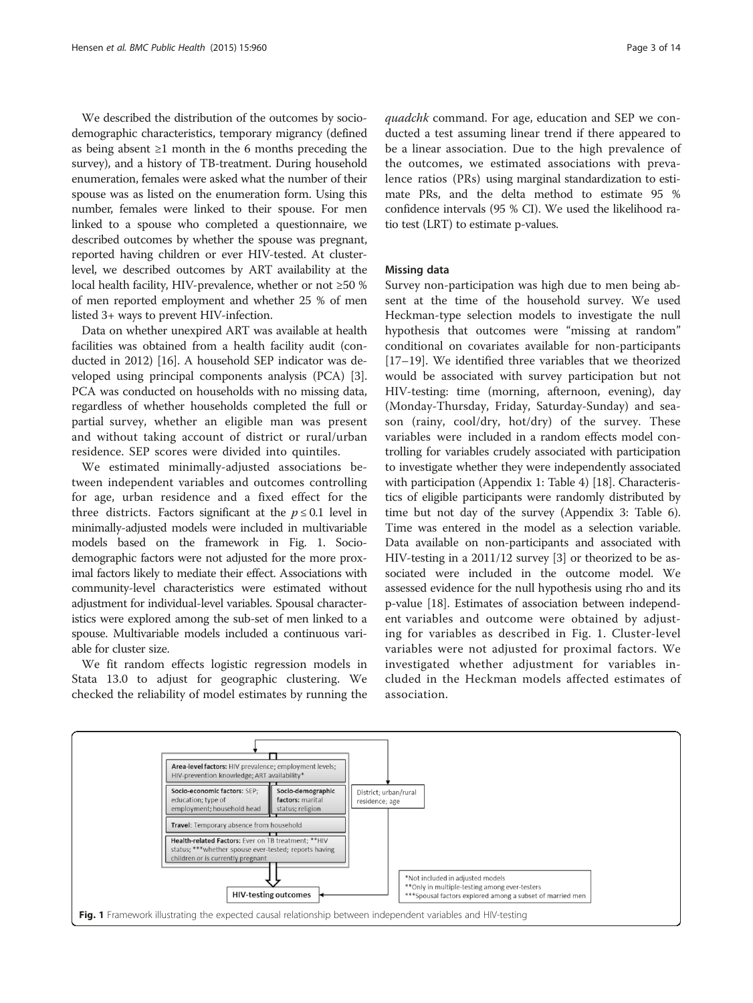<span id="page-2-0"></span>We described the distribution of the outcomes by sociodemographic characteristics, temporary migrancy (defined as being absent  $\geq 1$  month in the 6 months preceding the survey), and a history of TB-treatment. During household enumeration, females were asked what the number of their spouse was as listed on the enumeration form. Using this number, females were linked to their spouse. For men linked to a spouse who completed a questionnaire, we described outcomes by whether the spouse was pregnant, reported having children or ever HIV-tested. At clusterlevel, we described outcomes by ART availability at the local health facility, HIV-prevalence, whether or not ≥50 % of men reported employment and whether 25 % of men listed 3+ ways to prevent HIV-infection.

Data on whether unexpired ART was available at health facilities was obtained from a health facility audit (conducted in 2012) [[16](#page-12-0)]. A household SEP indicator was developed using principal components analysis (PCA) [[3](#page-12-0)]. PCA was conducted on households with no missing data, regardless of whether households completed the full or partial survey, whether an eligible man was present and without taking account of district or rural/urban residence. SEP scores were divided into quintiles.

We estimated minimally-adjusted associations between independent variables and outcomes controlling for age, urban residence and a fixed effect for the three districts. Factors significant at the  $p \le 0.1$  level in minimally-adjusted models were included in multivariable models based on the framework in Fig. 1. Sociodemographic factors were not adjusted for the more proximal factors likely to mediate their effect. Associations with community-level characteristics were estimated without adjustment for individual-level variables. Spousal characteristics were explored among the sub-set of men linked to a spouse. Multivariable models included a continuous variable for cluster size.

We fit random effects logistic regression models in Stata 13.0 to adjust for geographic clustering. We checked the reliability of model estimates by running the

quadchk command. For age, education and SEP we conducted a test assuming linear trend if there appeared to be a linear association. Due to the high prevalence of the outcomes, we estimated associations with prevalence ratios (PRs) using marginal standardization to estimate PRs, and the delta method to estimate 95 % confidence intervals (95 % CI). We used the likelihood ratio test (LRT) to estimate p-values.

## Missing data

Survey non-participation was high due to men being absent at the time of the household survey. We used Heckman-type selection models to investigate the null hypothesis that outcomes were "missing at random" conditional on covariates available for non-participants [[17](#page-12-0)–[19](#page-12-0)]. We identified three variables that we theorized would be associated with survey participation but not HIV-testing: time (morning, afternoon, evening), day (Monday-Thursday, Friday, Saturday-Sunday) and season (rainy, cool/dry, hot/dry) of the survey. These variables were included in a random effects model controlling for variables crudely associated with participation to investigate whether they were independently associated with participation (Appendix 1: Table [4\)](#page-10-0) [[18](#page-12-0)]. Characteristics of eligible participants were randomly distributed by time but not day of the survey (Appendix 3: Table [6](#page-11-0)). Time was entered in the model as a selection variable. Data available on non-participants and associated with HIV-testing in a 2011/12 survey [\[3](#page-12-0)] or theorized to be associated were included in the outcome model. We assessed evidence for the null hypothesis using rho and its p-value [\[18\]](#page-12-0). Estimates of association between independent variables and outcome were obtained by adjusting for variables as described in Fig. 1. Cluster-level variables were not adjusted for proximal factors. We investigated whether adjustment for variables included in the Heckman models affected estimates of association.

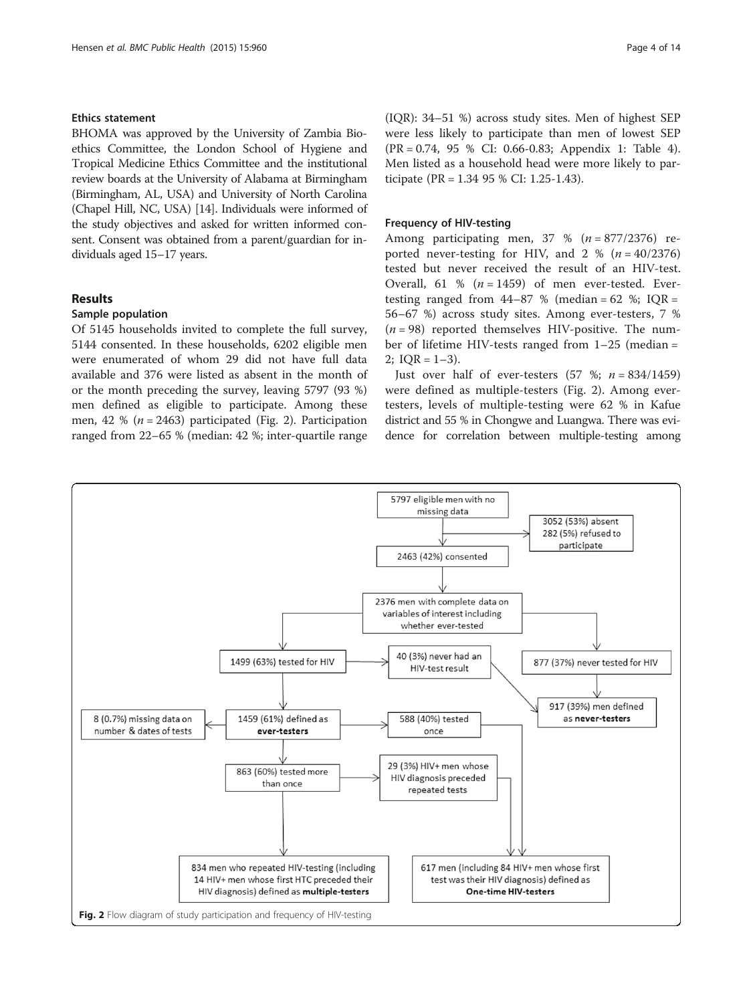### Ethics statement

BHOMA was approved by the University of Zambia Bioethics Committee, the London School of Hygiene and Tropical Medicine Ethics Committee and the institutional review boards at the University of Alabama at Birmingham (Birmingham, AL, USA) and University of North Carolina (Chapel Hill, NC, USA) [\[14\]](#page-12-0). Individuals were informed of the study objectives and asked for written informed consent. Consent was obtained from a parent/guardian for individuals aged 15–17 years.

## Results

## Sample population

Of 5145 households invited to complete the full survey, 5144 consented. In these households, 6202 eligible men were enumerated of whom 29 did not have full data available and 376 were listed as absent in the month of or the month preceding the survey, leaving 5797 (93 %) men defined as eligible to participate. Among these men, 42 % ( $n = 2463$ ) participated (Fig. 2). Participation ranged from 22–65 % (median: 42 %; inter-quartile range

(IQR): 34–51 %) across study sites. Men of highest SEP were less likely to participate than men of lowest SEP (PR = 0.74, 95 % CI: 0.66-0.83; Appendix 1: Table [4](#page-10-0)). Men listed as a household head were more likely to participate (PR = 1.34 95 % CI: 1.25-1.43).

### Frequency of HIV-testing

Among participating men,  $37 \%$  ( $n = 877/2376$ ) reported never-testing for HIV, and  $2 \% (n = 40/2376)$ tested but never received the result of an HIV-test. Overall, 61 %  $(n = 1459)$  of men ever-tested. Evertesting ranged from  $44-87$  % (median = 62 %; IQR = 56–67 %) across study sites. Among ever-testers, 7 %  $(n = 98)$  reported themselves HIV-positive. The number of lifetime HIV-tests ranged from 1–25 (median =  $2$ ; IOR = 1-3).

Just over half of ever-testers  $(57 %; n = 834/1459)$ were defined as multiple-testers (Fig. 2). Among evertesters, levels of multiple-testing were 62 % in Kafue district and 55 % in Chongwe and Luangwa. There was evidence for correlation between multiple-testing among

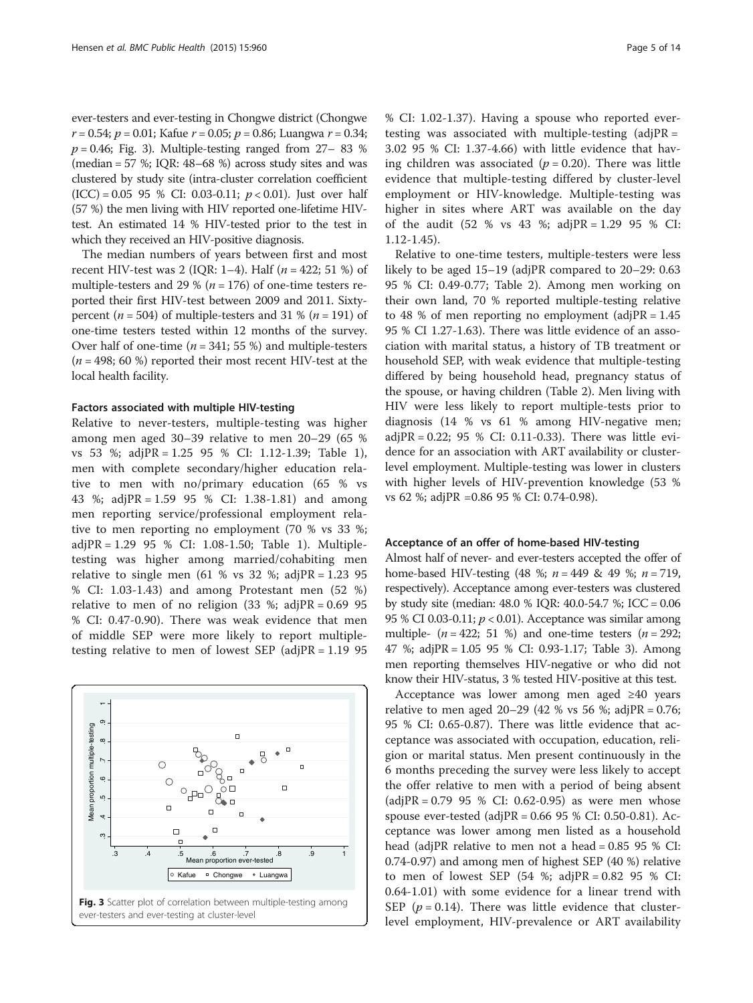ever-testers and ever-testing in Chongwe district (Chongwe  $r = 0.54$ ;  $p = 0.01$ ; Kafue  $r = 0.05$ ;  $p = 0.86$ ; Luangwa  $r = 0.34$ ;  $p = 0.46$ ; Fig. 3). Multiple-testing ranged from 27–83 % (median = 57 %; IQR: 48–68 %) across study sites and was clustered by study site (intra-cluster correlation coefficient  $(ICC) = 0.05$  95 % CI: 0.03-0.11;  $p < 0.01$ ). Just over half (57 %) the men living with HIV reported one-lifetime HIVtest. An estimated 14 % HIV-tested prior to the test in which they received an HIV-positive diagnosis.

The median numbers of years between first and most recent HIV-test was 2 (IQR: 1–4). Half ( $n = 422$ ; 51 %) of multiple-testers and 29 % ( $n = 176$ ) of one-time testers reported their first HIV-test between 2009 and 2011. Sixtypercent ( $n = 504$ ) of multiple-testers and 31 % ( $n = 191$ ) of one-time testers tested within 12 months of the survey. Over half of one-time ( $n = 341$ ; 55 %) and multiple-testers  $(n = 498; 60 \%)$  reported their most recent HIV-test at the local health facility.

#### Factors associated with multiple HIV-testing

Relative to never-testers, multiple-testing was higher among men aged 30–39 relative to men 20–29 (65 % vs 53 %; adjPR = 1.25 95 % CI: 1.12-1.39; Table [1](#page-5-0)), men with complete secondary/higher education relative to men with no/primary education (65 % vs 43 %; adjPR = 1.59 95 % CI: 1.38-1.81) and among men reporting service/professional employment relative to men reporting no employment (70 % vs 33 %; adjPR = 1.29 95 % CI: 1.08-1.50; Table [1](#page-5-0)). Multipletesting was higher among married/cohabiting men relative to single men (61 % vs 32 %; adjPR =  $1.23$  95 % CI: 1.03-1.43) and among Protestant men (52 %) relative to men of no religion  $(33 \text{ %}; \text{adjPR} = 0.6995)$ % CI: 0.47-0.90). There was weak evidence that men of middle SEP were more likely to report multipletesting relative to men of lowest SEP (adjPR = 1.19 95



% CI: 1.02-1.37). Having a spouse who reported evertesting was associated with multiple-testing  $(adjPR =$ 3.02 95 % CI: 1.37-4.66) with little evidence that having children was associated ( $p = 0.20$ ). There was little evidence that multiple-testing differed by cluster-level employment or HIV-knowledge. Multiple-testing was higher in sites where ART was available on the day of the audit  $(52 % vs 43 %; adjPR = 1.29 95 % CI:$ 1.12-1.45).

Relative to one-time testers, multiple-testers were less likely to be aged 15–19 (adjPR compared to 20–29: 0.63 95 % CI: 0.49-0.77; Table [2\)](#page-7-0). Among men working on their own land, 70 % reported multiple-testing relative to 48 % of men reporting no employment (adjPR =  $1.45$ ) 95 % CI 1.27-1.63). There was little evidence of an association with marital status, a history of TB treatment or household SEP, with weak evidence that multiple-testing differed by being household head, pregnancy status of the spouse, or having children (Table [2](#page-7-0)). Men living with HIV were less likely to report multiple-tests prior to diagnosis (14 % vs 61 % among HIV-negative men; adjPR = 0.22; 95 % CI: 0.11-0.33). There was little evidence for an association with ART availability or clusterlevel employment. Multiple-testing was lower in clusters with higher levels of HIV-prevention knowledge (53 % vs 62 %; adjPR =0.86 95 % CI: 0.74-0.98).

#### Acceptance of an offer of home-based HIV-testing

Almost half of never- and ever-testers accepted the offer of home-based HIV-testing (48 %;  $n = 449$  & 49 %;  $n = 719$ , respectively). Acceptance among ever-testers was clustered by study site (median: 48.0 % IQR: 40.0-54.7 %; ICC = 0.06 95 % CI 0.03-0.11;  $p < 0.01$ ). Acceptance was similar among multiple-  $(n = 422; 51 \%)$  and one-time testers  $(n = 292;$ 47 %; adjPR = 1.05 95 % CI: 0.93-1.17; Table [3](#page-9-0)). Among men reporting themselves HIV-negative or who did not know their HIV-status, 3 % tested HIV-positive at this test.

Acceptance was lower among men aged ≥40 years relative to men aged  $20-29$  (42 % vs 56 %; adjPR = 0.76; 95 % CI: 0.65-0.87). There was little evidence that acceptance was associated with occupation, education, religion or marital status. Men present continuously in the 6 months preceding the survey were less likely to accept the offer relative to men with a period of being absent  $\text{(adjPR = 0.79 95 % CI: 0.62-0.95)}$  as were men whose spouse ever-tested (adjPR = 0.66 95 % CI: 0.50-0.81). Acceptance was lower among men listed as a household head (adjPR relative to men not a head = 0.85 95 % CI: 0.74-0.97) and among men of highest SEP (40 %) relative to men of lowest SEP (54 %; adjPR =  $0.82$  95 % CI: 0.64-1.01) with some evidence for a linear trend with SEP ( $p = 0.14$ ). There was little evidence that clusterlevel employment, HIV-prevalence or ART availability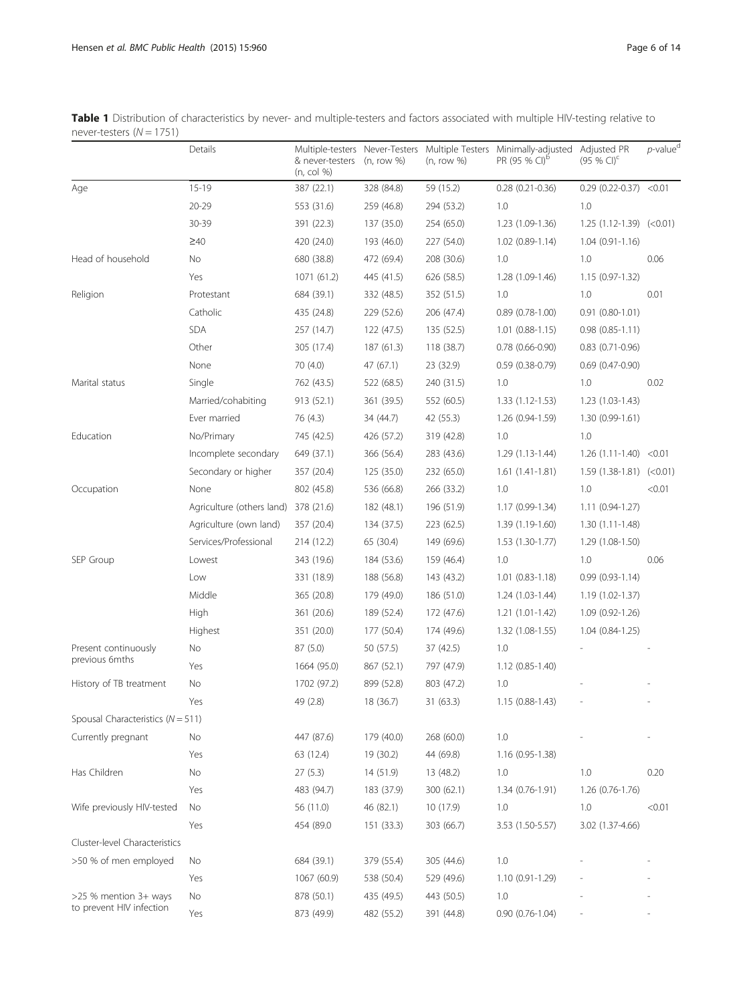<span id="page-5-0"></span>Table 1 Distribution of characteristics by never- and multiple-testers and factors associated with multiple HIV-testing relative to never-testers  $(N = 1751)$ 

|                                       | Details                   | & never-testers<br>(n, col %) | (n, row %) | (n, row %) | Multiple-testers Never-Testers Multiple Testers Minimally-adjusted<br>PR (95 % CI) <sup>D</sup> | Adjusted PR<br>$(95%$ CI) <sup>c</sup> | $p$ -value <sup>d</sup> |
|---------------------------------------|---------------------------|-------------------------------|------------|------------|-------------------------------------------------------------------------------------------------|----------------------------------------|-------------------------|
| Age                                   | $15 - 19$                 | 387 (22.1)                    | 328 (84.8) | 59 (15.2)  | $0.28$ $(0.21 - 0.36)$                                                                          | $0.29$ (0.22-0.37) < 0.01              |                         |
|                                       | $20 - 29$                 | 553 (31.6)                    | 259 (46.8) | 294 (53.2) | 1.0                                                                                             | 1.0                                    |                         |
|                                       | 30-39                     | 391 (22.3)                    | 137 (35.0) | 254 (65.0) | $1.23(1.09-1.36)$                                                                               | $1.25(1.12-1.39)(50.01)$               |                         |
|                                       | $\geq 40$                 | 420 (24.0)                    | 193 (46.0) | 227 (54.0) | $1.02(0.89-1.14)$                                                                               | $1.04(0.91 - 1.16)$                    |                         |
| Head of household                     | No                        | 680 (38.8)                    | 472 (69.4) | 208 (30.6) | 1.0                                                                                             | 1.0                                    | 0.06                    |
|                                       | Yes                       | 1071 (61.2)                   | 445 (41.5) | 626 (58.5) | 1.28 (1.09-1.46)                                                                                | $1.15(0.97-1.32)$                      |                         |
| Religion                              | Protestant                | 684 (39.1)                    | 332 (48.5) | 352 (51.5) | 1.0                                                                                             | 1.0                                    | 0.01                    |
|                                       | Catholic                  | 435 (24.8)                    | 229 (52.6) | 206 (47.4) | $0.89(0.78-1.00)$                                                                               | $0.91(0.80-1.01)$                      |                         |
|                                       | <b>SDA</b>                | 257 (14.7)                    | 122 (47.5) | 135 (52.5) | $1.01(0.88-1.15)$                                                                               | $0.98(0.85 - 1.11)$                    |                         |
|                                       | Other                     | 305 (17.4)                    | 187(61.3)  | 118 (38.7) | $0.78(0.66 - 0.90)$                                                                             | $0.83$ $(0.71 - 0.96)$                 |                         |
|                                       | None                      | 70 (4.0)                      | 47 (67.1)  | 23 (32.9)  | $0.59(0.38-0.79)$                                                                               | $0.69(0.47 - 0.90)$                    |                         |
| Marital status                        | Single                    | 762 (43.5)                    | 522 (68.5) | 240 (31.5) | 1.0                                                                                             | 1.0                                    | 0.02                    |
|                                       | Married/cohabiting        | 913 (52.1)                    | 361 (39.5) | 552 (60.5) | $1.33(1.12-1.53)$                                                                               | 1.23 (1.03-1.43)                       |                         |
|                                       | Ever married              | 76 (4.3)                      | 34 (44.7)  | 42 (55.3)  | 1.26 (0.94-1.59)                                                                                | $1.30(0.99-1.61)$                      |                         |
| Education                             | No/Primary                | 745 (42.5)                    | 426 (57.2) | 319 (42.8) | 1.0                                                                                             | 1.0                                    |                         |
|                                       | Incomplete secondary      | 649 (37.1)                    | 366 (56.4) | 283 (43.6) | $1.29(1.13-1.44)$                                                                               | $1.26(1.11-1.40) < 0.01$               |                         |
|                                       | Secondary or higher       | 357 (20.4)                    | 125 (35.0) | 232 (65.0) | $1.61(1.41-1.81)$                                                                               | $1.59(1.38-1.81)(0.01)$                |                         |
| Occupation                            | None                      | 802 (45.8)                    | 536 (66.8) | 266 (33.2) | 1.0                                                                                             | 1.0                                    | < 0.01                  |
|                                       | Agriculture (others land) | 378 (21.6)                    | 182 (48.1) | 196 (51.9) | 1.17 (0.99-1.34)                                                                                | $1.11(0.94-1.27)$                      |                         |
|                                       | Agriculture (own land)    | 357 (20.4)                    | 134 (37.5) | 223 (62.5) | 1.39 (1.19-1.60)                                                                                | 1.30 (1.11-1.48)                       |                         |
|                                       | Services/Professional     | 214 (12.2)                    | 65 (30.4)  | 149 (69.6) | 1.53 (1.30-1.77)                                                                                | 1.29 (1.08-1.50)                       |                         |
| SEP Group                             | Lowest                    | 343 (19.6)                    | 184 (53.6) | 159 (46.4) | 1.0                                                                                             | 1.0                                    | 0.06                    |
|                                       | Low                       | 331 (18.9)                    | 188 (56.8) | 143 (43.2) | $1.01(0.83 - 1.18)$                                                                             | $0.99(0.93 - 1.14)$                    |                         |
|                                       | Middle                    | 365 (20.8)                    | 179 (49.0) | 186 (51.0) | $1.24(1.03-1.44)$                                                                               | 1.19 (1.02-1.37)                       |                         |
|                                       | High                      | 361 (20.6)                    | 189 (52.4) | 172 (47.6) | $1.21(1.01-1.42)$                                                                               | 1.09 (0.92-1.26)                       |                         |
|                                       | Highest                   | 351 (20.0)                    | 177 (50.4) | 174 (49.6) | 1.32 (1.08-1.55)                                                                                | $1.04(0.84 - 1.25)$                    |                         |
| Present continuously                  | No                        | 87 (5.0)                      | 50 (57.5)  | 37 (42.5)  | 1.0                                                                                             |                                        |                         |
| previous 6mths                        | Yes                       | 1664 (95.0)                   | 867 (52.1) | 797 (47.9) | $1.12(0.85 - 1.40)$                                                                             |                                        |                         |
| History of TB treatment               | No                        | 1702 (97.2)                   | 899 (52.8) | 803 (47.2) | 1.0                                                                                             |                                        |                         |
|                                       | Yes                       | 49 (2.8)                      | 18 (36.7)  | 31 (63.3)  | 1.15 (0.88-1.43)                                                                                |                                        |                         |
| Spousal Characteristics ( $N = 511$ ) |                           |                               |            |            |                                                                                                 |                                        |                         |
| Currently pregnant                    | No                        | 447 (87.6)                    | 179 (40.0) | 268 (60.0) | $1.0\,$                                                                                         |                                        |                         |
|                                       | Yes                       | 63 (12.4)                     | 19 (30.2)  | 44 (69.8)  | 1.16 (0.95-1.38)                                                                                |                                        |                         |
| Has Children                          | No                        | 27(5.3)                       | 14 (51.9)  | 13 (48.2)  | 1.0                                                                                             | 1.0                                    | 0.20                    |
|                                       | Yes                       | 483 (94.7)                    | 183 (37.9) | 300 (62.1) | 1.34 (0.76-1.91)                                                                                | $1.26(0.76-1.76)$                      |                         |
| Wife previously HIV-tested            | No                        | 56 (11.0)                     | 46 (82.1)  | 10 (17.9)  | 1.0                                                                                             | 1.0                                    | < 0.01                  |
|                                       | Yes                       | 454 (89.0                     | 151 (33.3) | 303 (66.7) | 3.53 (1.50-5.57)                                                                                | 3.02 (1.37-4.66)                       |                         |
| Cluster-level Characteristics         |                           |                               |            |            |                                                                                                 |                                        |                         |
| >50 % of men employed                 | No                        | 684 (39.1)                    | 379 (55.4) | 305 (44.6) | 1.0                                                                                             |                                        |                         |
|                                       | Yes                       | 1067 (60.9)                   | 538 (50.4) | 529 (49.6) | 1.10 (0.91-1.29)                                                                                |                                        |                         |
| >25 % mention 3+ ways                 | No                        | 878 (50.1)                    | 435 (49.5) | 443 (50.5) | 1.0                                                                                             |                                        |                         |
| to prevent HIV infection              | Yes                       | 873 (49.9)                    | 482 (55.2) | 391 (44.8) | $0.90(0.76-1.04)$                                                                               |                                        |                         |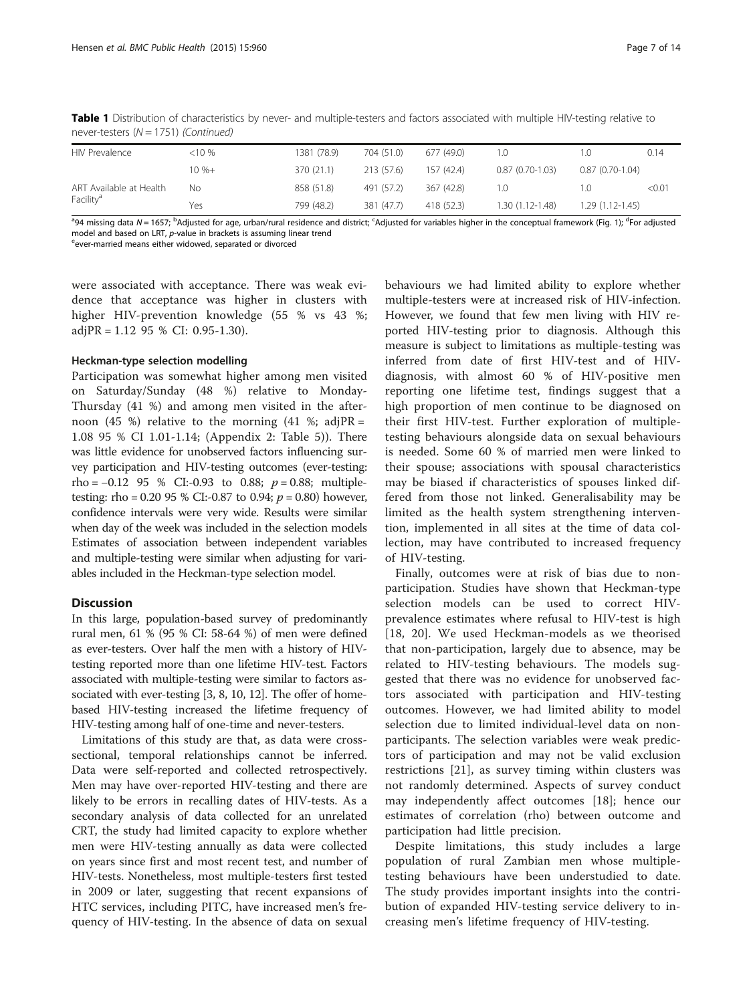Table 1 Distribution of characteristics by never- and multiple-testers and factors associated with multiple HIV-testing relative to never-testers  $(N = 1751)$  (Continued)

| <b>HIV Prevalence</b>   | <10 %     | 1381 (78.9) | 704 (51.0) | 677 (49.0) | LO.               |                     | 0.14   |
|-------------------------|-----------|-------------|------------|------------|-------------------|---------------------|--------|
|                         | $10 \% +$ | 370 (21.1)  | 213 (57.6) | 157 (42.4) | $0.87(0.70-1.03)$ | $0.87(0.70-1.04)$   |        |
| ART Available at Health | Νo        | 858 (51.8)  | 491 (57.2) | 367 (42.8) | LO.               |                     | < 0.01 |
| Facility <sup>a</sup>   | Yes       | 799 (48.2)  | 381 (47.7) | 418 (52.3) | 1.30 (1.12-1.48)  | $1.29(1.12 - 1.45)$ |        |

<sup>a</sup>94 missing data N = 1657; <sup>b</sup>Adjusted for age, urban/rural residence and district; <sup>c</sup>Adjusted for variables higher in the conceptual framework (Fig. [1\)](#page-2-0); <sup>d</sup>For adjusted model and based on LRT,  $p$ -value in brackets is assuming linear trend ever-married means either widowed, separated or divorced

were associated with acceptance. There was weak evidence that acceptance was higher in clusters with higher HIV-prevention knowledge (55 % vs 43 %; adjPR = 1.12 95 % CI: 0.95-1.30).

## Heckman-type selection modelling

Participation was somewhat higher among men visited on Saturday/Sunday (48 %) relative to Monday-Thursday (41 %) and among men visited in the afternoon (45 %) relative to the morning (41 %; adjPR = 1.08 95 % CI 1.01-1.14; (Appendix 2: Table [5\)](#page-11-0)). There was little evidence for unobserved factors influencing survey participation and HIV-testing outcomes (ever-testing: rho =  $-0.12$  95 % CI:-0.93 to 0.88;  $p = 0.88$ ; multipletesting: rho = 0.20 95 % CI:-0.87 to 0.94;  $p = 0.80$ ) however, confidence intervals were very wide. Results were similar when day of the week was included in the selection models Estimates of association between independent variables and multiple-testing were similar when adjusting for variables included in the Heckman-type selection model.

## **Discussion**

In this large, population-based survey of predominantly rural men, 61 % (95 % CI: 58-64 %) of men were defined as ever-testers. Over half the men with a history of HIVtesting reported more than one lifetime HIV-test. Factors associated with multiple-testing were similar to factors associated with ever-testing [[3](#page-12-0), [8, 10](#page-12-0), [12](#page-12-0)]. The offer of homebased HIV-testing increased the lifetime frequency of HIV-testing among half of one-time and never-testers.

Limitations of this study are that, as data were crosssectional, temporal relationships cannot be inferred. Data were self-reported and collected retrospectively. Men may have over-reported HIV-testing and there are likely to be errors in recalling dates of HIV-tests. As a secondary analysis of data collected for an unrelated CRT, the study had limited capacity to explore whether men were HIV-testing annually as data were collected on years since first and most recent test, and number of HIV-tests. Nonetheless, most multiple-testers first tested in 2009 or later, suggesting that recent expansions of HTC services, including PITC, have increased men's frequency of HIV-testing. In the absence of data on sexual

behaviours we had limited ability to explore whether multiple-testers were at increased risk of HIV-infection. However, we found that few men living with HIV reported HIV-testing prior to diagnosis. Although this measure is subject to limitations as multiple-testing was inferred from date of first HIV-test and of HIVdiagnosis, with almost 60 % of HIV-positive men reporting one lifetime test, findings suggest that a high proportion of men continue to be diagnosed on their first HIV-test. Further exploration of multipletesting behaviours alongside data on sexual behaviours is needed. Some 60 % of married men were linked to their spouse; associations with spousal characteristics may be biased if characteristics of spouses linked differed from those not linked. Generalisability may be limited as the health system strengthening intervention, implemented in all sites at the time of data collection, may have contributed to increased frequency of HIV-testing.

Finally, outcomes were at risk of bias due to nonparticipation. Studies have shown that Heckman-type selection models can be used to correct HIVprevalence estimates where refusal to HIV-test is high [[18,](#page-12-0) [20\]](#page-13-0). We used Heckman-models as we theorised that non-participation, largely due to absence, may be related to HIV-testing behaviours. The models suggested that there was no evidence for unobserved factors associated with participation and HIV-testing outcomes. However, we had limited ability to model selection due to limited individual-level data on nonparticipants. The selection variables were weak predictors of participation and may not be valid exclusion restrictions [\[21](#page-13-0)], as survey timing within clusters was not randomly determined. Aspects of survey conduct may independently affect outcomes [[18\]](#page-12-0); hence our estimates of correlation (rho) between outcome and participation had little precision.

Despite limitations, this study includes a large population of rural Zambian men whose multipletesting behaviours have been understudied to date. The study provides important insights into the contribution of expanded HIV-testing service delivery to increasing men's lifetime frequency of HIV-testing.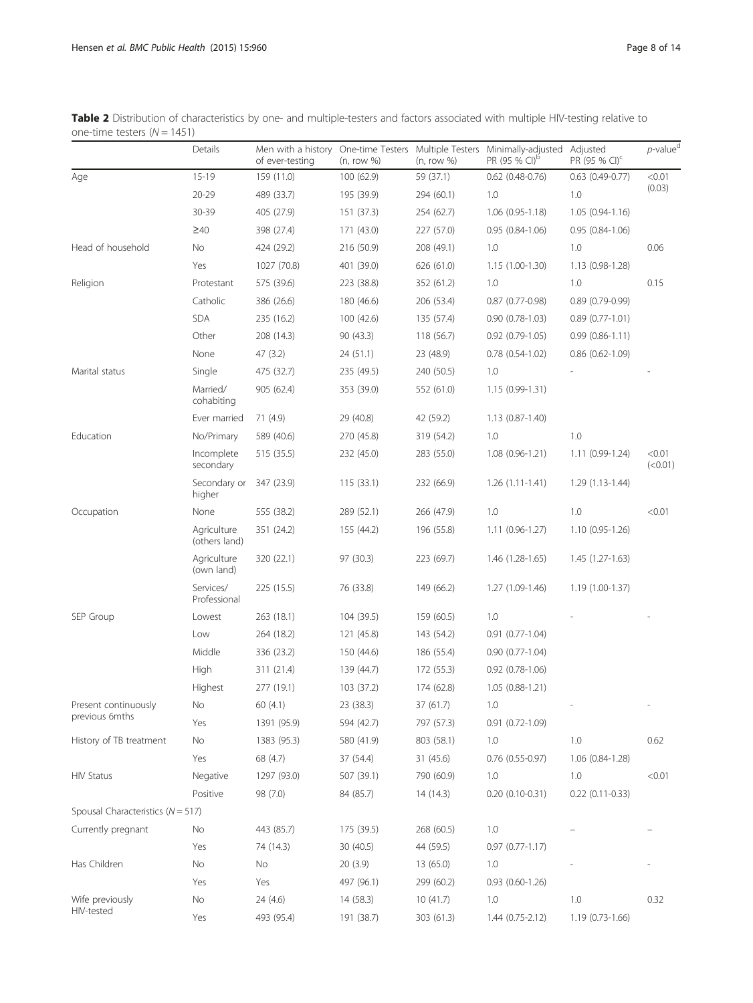|                                       | Details                      | Men with a history<br>of ever-testing | One-time Testers Multiple Testers<br>(n, row %) | (n, row %) | Minimally-adjusted<br>PR (95 % CI) <sup>b</sup> | Adjusted<br>PR (95 % CI) <sup>c</sup> | $p$ -value <sup>d</sup> |
|---------------------------------------|------------------------------|---------------------------------------|-------------------------------------------------|------------|-------------------------------------------------|---------------------------------------|-------------------------|
| Age                                   | $15 - 19$                    | 159 (11.0)                            | 100 (62.9)                                      | 59 (37.1)  | $0.62$ (0.48-0.76)                              | $0.63$ (0.49-0.77)                    | < 0.01                  |
|                                       | $20 - 29$                    | 489 (33.7)                            | 195 (39.9)                                      | 294 (60.1) | 1.0                                             | 1.0                                   | (0.03)                  |
|                                       | 30-39                        | 405 (27.9)                            | 151 (37.3)                                      | 254 (62.7) | $1.06(0.95-1.18)$                               | $1.05(0.94-1.16)$                     |                         |
|                                       | $\geq 40$                    | 398 (27.4)                            | 171 (43.0)                                      | 227 (57.0) | $0.95(0.84 - 1.06)$                             | $0.95(0.84-1.06)$                     |                         |
| Head of household                     | No                           | 424 (29.2)                            | 216 (50.9)                                      | 208 (49.1) | 1.0                                             | 1.0                                   | 0.06                    |
|                                       | Yes                          | 1027 (70.8)                           | 401 (39.0)                                      | 626 (61.0) | $1.15(1.00-1.30)$                               | $1.13(0.98-1.28)$                     |                         |
| Religion                              | Protestant                   | 575 (39.6)                            | 223 (38.8)                                      | 352 (61.2) | 1.0                                             | 1.0                                   | 0.15                    |
|                                       | Catholic                     | 386 (26.6)                            | 180 (46.6)                                      | 206 (53.4) | $0.87$ (0.77-0.98)                              | $0.89(0.79-0.99)$                     |                         |
|                                       | <b>SDA</b>                   | 235 (16.2)                            | 100 (42.6)                                      | 135 (57.4) | $0.90(0.78-1.03)$                               | $0.89(0.77-1.01)$                     |                         |
|                                       | Other                        | 208 (14.3)                            | 90 (43.3)                                       | 118 (56.7) | $0.92$ $(0.79 - 1.05)$                          | $0.99(0.86 - 1.11)$                   |                         |
|                                       | None                         | 47(3.2)                               | 24 (51.1)                                       | 23 (48.9)  | $0.78(0.54-1.02)$                               | $0.86(0.62 - 1.09)$                   |                         |
| Marital status                        | Single                       | 475 (32.7)                            | 235 (49.5)                                      | 240 (50.5) | 1.0                                             |                                       |                         |
|                                       | Married/<br>cohabiting       | 905 (62.4)                            | 353 (39.0)                                      | 552 (61.0) | 1.15 (0.99-1.31)                                |                                       |                         |
|                                       | Ever married                 | 71 (4.9)                              | 29 (40.8)                                       | 42 (59.2)  | $1.13(0.87 - 1.40)$                             |                                       |                         |
| Education                             | No/Primary                   | 589 (40.6)                            | 270 (45.8)                                      | 319 (54.2) | 1.0                                             | 1.0                                   |                         |
|                                       | Incomplete<br>secondary      | 515 (35.5)                            | 232 (45.0)                                      | 283 (55.0) | $1.08(0.96 - 1.21)$                             | $1.11(0.99-1.24)$                     | < 0.01<br>(<0.01)       |
|                                       | Secondary or<br>higher       | 347 (23.9)                            | 115(33.1)                                       | 232 (66.9) | $1.26(1.11-1.41)$                               | $1.29(1.13-1.44)$                     |                         |
| Occupation                            | None                         | 555 (38.2)                            | 289 (52.1)                                      | 266 (47.9) | 1.0                                             | 1.0                                   | < 0.01                  |
|                                       | Agriculture<br>(others land) | 351 (24.2)                            | 155 (44.2)                                      | 196 (55.8) | $1.11(0.96-1.27)$                               | $1.10(0.95-1.26)$                     |                         |
|                                       | Agriculture<br>(own land)    | 320 (22.1)                            | 97 (30.3)                                       | 223 (69.7) | $1.46(1.28-1.65)$                               | $1.45(1.27-1.63)$                     |                         |
|                                       | Services/<br>Professional    | 225 (15.5)                            | 76 (33.8)                                       | 149 (66.2) | 1.27 (1.09-1.46)                                | 1.19 (1.00-1.37)                      |                         |
| SEP Group                             | Lowest                       | 263 (18.1)                            | 104 (39.5)                                      | 159 (60.5) | 1.0                                             |                                       |                         |
|                                       | Low                          | 264 (18.2)                            | 121 (45.8)                                      | 143 (54.2) | $0.91(0.77-1.04)$                               |                                       |                         |
|                                       | Middle                       | 336 (23.2)                            | 150 (44.6)                                      | 186 (55.4) | $0.90(0.77-1.04)$                               |                                       |                         |
|                                       | High                         | 311 (21.4)                            | 139 (44.7)                                      | 172 (55.3) | $0.92$ $(0.78-1.06)$                            |                                       |                         |
|                                       | Highest                      | 277 (19.1)                            | 103 (37.2)                                      | 174 (62.8) | $1.05(0.88-1.21)$                               |                                       |                         |
| Present continuously                  | No                           | 60 (4.1)                              | 23 (38.3)                                       | 37 (61.7)  | 1.0                                             |                                       |                         |
| previous 6mths                        | Yes                          | 1391 (95.9)                           | 594 (42.7)                                      | 797 (57.3) | $0.91(0.72-1.09)$                               |                                       |                         |
| History of TB treatment               | No                           | 1383 (95.3)                           | 580 (41.9)                                      | 803 (58.1) | 1.0                                             | 1.0                                   | 0.62                    |
|                                       | Yes                          | 68 (4.7)                              | 37 (54.4)                                       | 31(45.6)   | $0.76$ $(0.55-0.97)$                            | 1.06 (0.84-1.28)                      |                         |
| <b>HIV Status</b>                     | Negative                     | 1297 (93.0)                           | 507 (39.1)                                      | 790 (60.9) | 1.0                                             | 1.0                                   | < 0.01                  |
|                                       | Positive                     | 98 (7.0)                              | 84 (85.7)                                       | 14(14.3)   | $0.20(0.10-0.31)$                               | $0.22(0.11-0.33)$                     |                         |
| Spousal Characteristics ( $N = 517$ ) |                              |                                       |                                                 |            |                                                 |                                       |                         |
| Currently pregnant                    | No                           | 443 (85.7)                            | 175 (39.5)                                      | 268 (60.5) | 1.0                                             |                                       |                         |
|                                       | Yes                          | 74 (14.3)                             | 30 (40.5)                                       | 44 (59.5)  | $0.97(0.77 - 1.17)$                             |                                       |                         |
| Has Children                          | No                           | No                                    | 20(3.9)                                         | 13(65.0)   | 1.0                                             |                                       |                         |
|                                       | Yes                          | Yes                                   | 497 (96.1)                                      | 299 (60.2) | $0.93$ $(0.60-1.26)$                            |                                       |                         |
| Wife previously                       | No                           | 24(4.6)                               | 14 (58.3)                                       | 10(41.7)   | 1.0                                             | 1.0                                   | 0.32                    |
| HIV-tested                            | Yes                          | 493 (95.4)                            | 191 (38.7)                                      | 303 (61.3) | $1.44(0.75-2.12)$                               | $1.19(0.73-1.66)$                     |                         |

<span id="page-7-0"></span>Table 2 Distribution of characteristics by one- and multiple-testers and factors associated with multiple HIV-testing relative to one-time testers  $(N = 1451)$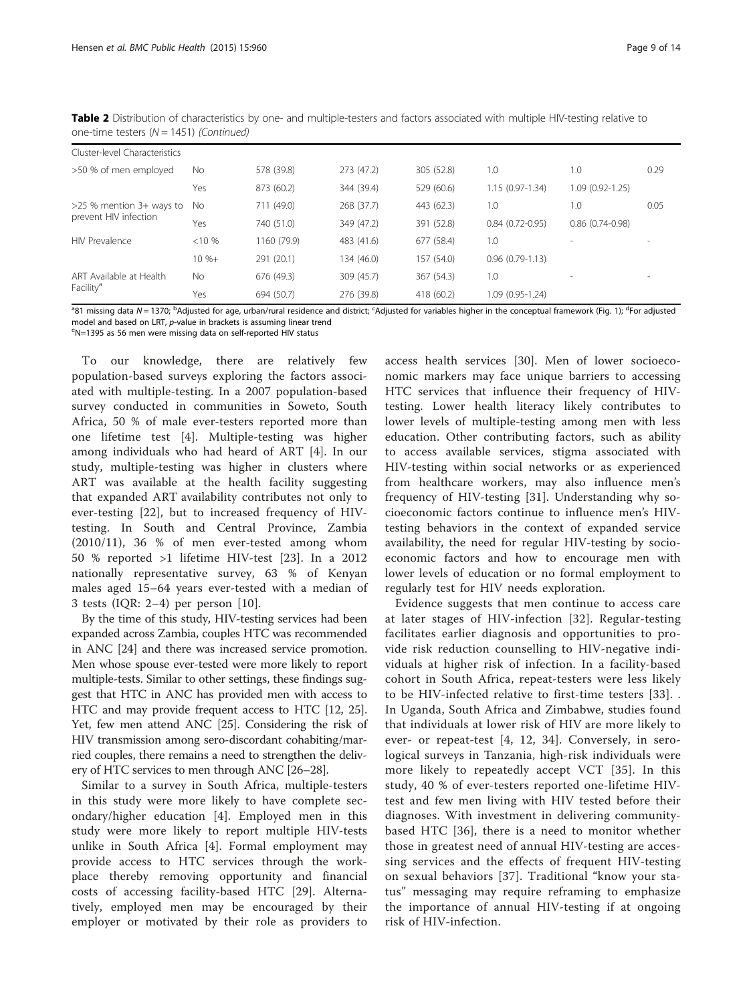| Cluster-level Characteristics |           |             |            |            |                   |                   |      |  |  |  |
|-------------------------------|-----------|-------------|------------|------------|-------------------|-------------------|------|--|--|--|
| >50 % of men employed         | No.       | 578 (39.8)  | 273 (47.2) | 305 (52.8) | 1.0               | 1.0               | 0.29 |  |  |  |
|                               | Yes       | 873 (60.2)  | 344 (39.4) | 529 (60.6) | $1.15(0.97-1.34)$ | 1.09 (0.92-1.25)  |      |  |  |  |
| $>25$ % mention 3+ ways to    | No.       | 711 (49.0)  | 268 (37.7) | 443 (62.3) | 1.0               | 1.0               | 0.05 |  |  |  |
| prevent HIV infection         | Yes       | 740 (51.0)  | 349 (47.2) | 391 (52.8) | $0.84(0.72-0.95)$ | $0.86(0.74-0.98)$ |      |  |  |  |
| <b>HIV Prevalence</b>         | $< 10 \%$ | 1160 (79.9) | 483 (41.6) | 677 (58.4) | 1.0               |                   |      |  |  |  |
|                               | $10 \% +$ | 291 (20.1)  | 134 (46.0) | 157 (54.0) | $0.96(0.79-1.13)$ |                   |      |  |  |  |
| ART Available at Health       | <b>No</b> | 676 (49.3)  | 309 (45.7) | 367 (54.3) | 1.0               |                   |      |  |  |  |
| Facility <sup>a</sup>         | Yes       | 694 (50.7)  | 276 (39.8) | 418 (60.2) | 1.09 (0.95-1.24)  |                   |      |  |  |  |

Table 2 Distribution of characteristics by one- and multiple-testers and factors associated with multiple HIV-testing relative to one-time testers  $(N = 1451)$  (Continued)

<sup>a</sup>81 missing data N = 1370; <sup>b</sup>Adjusted for age, urban/rural residence and district; <sup>c</sup>Adjusted for variables higher in the conceptual framework (Fig. [1\)](#page-2-0); <sup>d</sup>For adjusted model and based on LRT, p-value in brackets is assuming linear trend

N=1395 as 56 men were missing data on self-reported HIV status

To our knowledge, there are relatively few population-based surveys exploring the factors associated with multiple-testing. In a 2007 population-based survey conducted in communities in Soweto, South Africa, 50 % of male ever-testers reported more than one lifetime test [\[4](#page-12-0)]. Multiple-testing was higher among individuals who had heard of ART [[4](#page-12-0)]. In our study, multiple-testing was higher in clusters where ART was available at the health facility suggesting that expanded ART availability contributes not only to ever-testing [[22\]](#page-13-0), but to increased frequency of HIVtesting. In South and Central Province, Zambia (2010/11), 36 % of men ever-tested among whom 50 % reported >1 lifetime HIV-test [[23\]](#page-13-0). In a 2012 nationally representative survey, 63 % of Kenyan males aged 15–64 years ever-tested with a median of 3 tests (IQR: 2–4) per person [[10](#page-12-0)].

By the time of this study, HIV-testing services had been expanded across Zambia, couples HTC was recommended in ANC [\[24\]](#page-13-0) and there was increased service promotion. Men whose spouse ever-tested were more likely to report multiple-tests. Similar to other settings, these findings suggest that HTC in ANC has provided men with access to HTC and may provide frequent access to HTC [\[12,](#page-12-0) [25](#page-13-0)]. Yet, few men attend ANC [\[25](#page-13-0)]. Considering the risk of HIV transmission among sero-discordant cohabiting/married couples, there remains a need to strengthen the delivery of HTC services to men through ANC [\[26](#page-13-0)–[28](#page-13-0)].

Similar to a survey in South Africa, multiple-testers in this study were more likely to have complete secondary/higher education [\[4](#page-12-0)]. Employed men in this study were more likely to report multiple HIV-tests unlike in South Africa [\[4](#page-12-0)]. Formal employment may provide access to HTC services through the workplace thereby removing opportunity and financial costs of accessing facility-based HTC [\[29](#page-13-0)]. Alternatively, employed men may be encouraged by their employer or motivated by their role as providers to

access health services [[30\]](#page-13-0). Men of lower socioeconomic markers may face unique barriers to accessing HTC services that influence their frequency of HIVtesting. Lower health literacy likely contributes to lower levels of multiple-testing among men with less education. Other contributing factors, such as ability to access available services, stigma associated with HIV-testing within social networks or as experienced from healthcare workers, may also influence men's frequency of HIV-testing [[31](#page-13-0)]. Understanding why socioeconomic factors continue to influence men's HIVtesting behaviors in the context of expanded service availability, the need for regular HIV-testing by socioeconomic factors and how to encourage men with lower levels of education or no formal employment to regularly test for HIV needs exploration.

Evidence suggests that men continue to access care at later stages of HIV-infection [\[32\]](#page-13-0). Regular-testing facilitates earlier diagnosis and opportunities to provide risk reduction counselling to HIV-negative individuals at higher risk of infection. In a facility-based cohort in South Africa, repeat-testers were less likely to be HIV-infected relative to first-time testers [[33\]](#page-13-0). . In Uganda, South Africa and Zimbabwe, studies found that individuals at lower risk of HIV are more likely to ever- or repeat-test [[4, 12,](#page-12-0) [34](#page-13-0)]. Conversely, in serological surveys in Tanzania, high-risk individuals were more likely to repeatedly accept VCT [[35\]](#page-13-0). In this study, 40 % of ever-testers reported one-lifetime HIVtest and few men living with HIV tested before their diagnoses. With investment in delivering communitybased HTC [[36\]](#page-13-0), there is a need to monitor whether those in greatest need of annual HIV-testing are accessing services and the effects of frequent HIV-testing on sexual behaviors [[37\]](#page-13-0). Traditional "know your status" messaging may require reframing to emphasize the importance of annual HIV-testing if at ongoing risk of HIV-infection.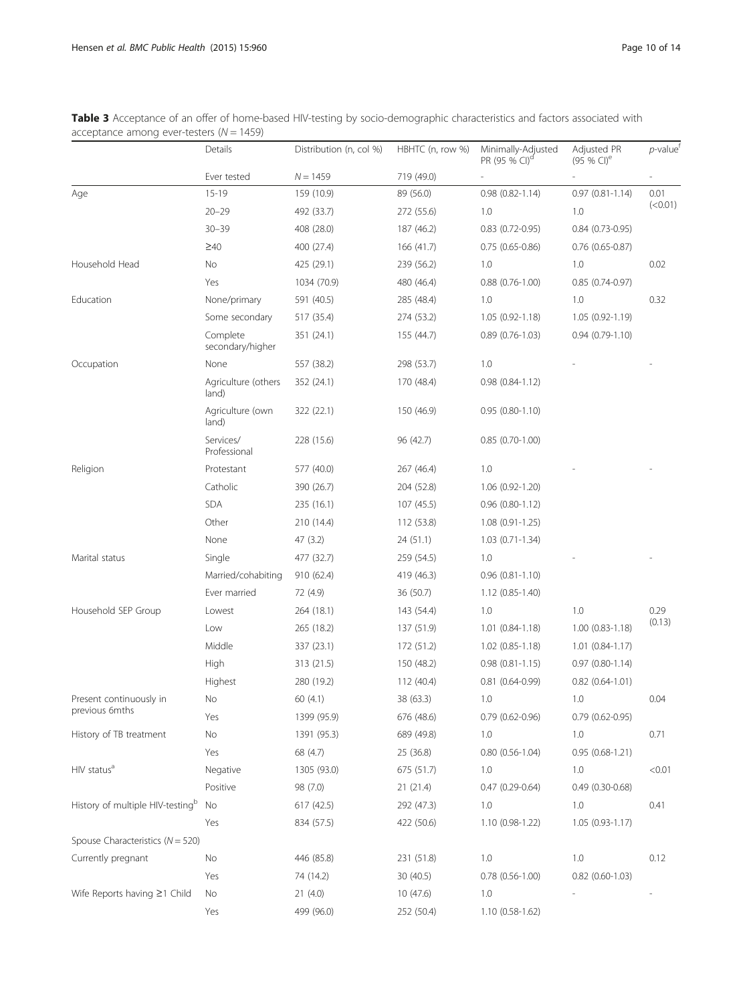<span id="page-9-0"></span>Table 3 Acceptance of an offer of home-based HIV-testing by socio-demographic characteristics and factors associated with acceptance among ever-testers  $(N = 1459)$ 

|                                              | Details                      | Distribution (n, col %) | HBHTC (n, row %) | Minimally-Adjusted<br>PR (95 % CI) <sup>d</sup> | Adjusted PR<br>(95 % CI) <sup>e</sup> | $p$ -value <sup>t</sup>  |
|----------------------------------------------|------------------------------|-------------------------|------------------|-------------------------------------------------|---------------------------------------|--------------------------|
|                                              | Ever tested                  | $N = 1459$              | 719 (49.0)       |                                                 |                                       |                          |
| Age                                          | $15 - 19$                    | 159 (10.9)              | 89 (56.0)        | $0.98(0.82 - 1.14)$                             | $0.97(0.81 - 1.14)$                   | 0.01                     |
|                                              | $20 - 29$                    | 492 (33.7)              | 272 (55.6)       | 1.0                                             | 1.0                                   | (< 0.01)                 |
|                                              | $30 - 39$                    | 408 (28.0)              | 187 (46.2)       | $0.83$ $(0.72 - 0.95)$                          | $0.84(0.73-0.95)$                     |                          |
|                                              | $\geq 40$                    | 400 (27.4)              | 166 (41.7)       | $0.75(0.65-0.86)$                               | $0.76$ (0.65-0.87)                    |                          |
| Household Head                               | No                           | 425 (29.1)              | 239 (56.2)       | 1.0                                             | 1.0                                   | 0.02                     |
|                                              | Yes                          | 1034 (70.9)             | 480 (46.4)       | $0.88$ $(0.76 - 1.00)$                          | $0.85(0.74-0.97)$                     |                          |
| Education                                    | None/primary                 | 591 (40.5)              | 285 (48.4)       | 1.0                                             | 1.0                                   | 0.32                     |
|                                              | Some secondary               | 517 (35.4)              | 274 (53.2)       | $1.05(0.92 - 1.18)$                             | $1.05(0.92 - 1.19)$                   |                          |
|                                              | Complete<br>secondary/higher | 351 (24.1)              | 155 (44.7)       | $0.89(0.76-1.03)$                               | $0.94(0.79-1.10)$                     |                          |
| Occupation                                   | None                         | 557 (38.2)              | 298 (53.7)       | 1.0                                             |                                       |                          |
|                                              | Agriculture (others<br>land) | 352 (24.1)              | 170 (48.4)       | $0.98(0.84 - 1.12)$                             |                                       |                          |
|                                              | Agriculture (own<br>land)    | 322 (22.1)              | 150 (46.9)       | $0.95(0.80-1.10)$                               |                                       |                          |
|                                              | Services/<br>Professional    | 228 (15.6)              | 96 (42.7)        | $0.85(0.70-1.00)$                               |                                       |                          |
| Religion                                     | Protestant                   | 577 (40.0)              | 267 (46.4)       | 1.0                                             |                                       |                          |
|                                              | Catholic                     | 390 (26.7)              | 204 (52.8)       | 1.06 (0.92-1.20)                                |                                       |                          |
|                                              | <b>SDA</b>                   | 235 (16.1)              | 107 (45.5)       | $0.96$ $(0.80-1.12)$                            |                                       |                          |
|                                              | Other                        | 210 (14.4)              | 112 (53.8)       | 1.08 (0.91-1.25)                                |                                       |                          |
|                                              | None                         | 47 (3.2)                | 24 (51.1)        | $1.03(0.71-1.34)$                               |                                       |                          |
| Marital status                               | Single                       | 477 (32.7)              | 259 (54.5)       | 1.0                                             |                                       |                          |
|                                              | Married/cohabiting           | 910 (62.4)              | 419 (46.3)       | $0.96$ $(0.81 - 1.10)$                          |                                       |                          |
|                                              | Ever married                 | 72 (4.9)                | 36 (50.7)        | $1.12(0.85 - 1.40)$                             |                                       |                          |
| Household SEP Group                          | Lowest                       | 264 (18.1)              | 143 (54.4)       | 1.0                                             | 1.0                                   | 0.29                     |
|                                              | Low                          | 265 (18.2)              | 137 (51.9)       | $1.01(0.84-1.18)$                               | $1.00(0.83 - 1.18)$                   | (0.13)                   |
|                                              | Middle                       | 337 (23.1)              | 172 (51.2)       | $1.02(0.85 - 1.18)$                             | $1.01(0.84-1.17)$                     |                          |
|                                              | High                         | 313 (21.5)              | 150 (48.2)       | $0.98$ $(0.81 - 1.15)$                          | $0.97(0.80-1.14)$                     |                          |
|                                              | Highest                      | 280 (19.2)              | 112 (40.4)       | $0.81(0.64-0.99)$                               | $0.82$ $(0.64 - 1.01)$                |                          |
| Present continuously in                      | No                           | 60 (4.1)                | 38 (63.3)        | 1.0                                             | 1.0                                   | 0.04                     |
| previous 6mths                               | Yes                          | 1399 (95.9)             | 676 (48.6)       | $0.79$ $(0.62 - 0.96)$                          | $0.79$ $(0.62 - 0.95)$                |                          |
| History of TB treatment                      | No                           | 1391 (95.3)             | 689 (49.8)       | 1.0                                             | 1.0                                   | 0.71                     |
|                                              | Yes                          | 68 (4.7)                | 25 (36.8)        | $0.80(0.56-1.04)$                               | $0.95(0.68-1.21)$                     |                          |
| HIV status <sup>a</sup>                      | Negative                     | 1305 (93.0)             | 675 (51.7)       | 1.0                                             | 1.0                                   | < 0.01                   |
|                                              | Positive                     | 98 (7.0)                | 21(21.4)         | $0.47(0.29 - 0.64)$                             | $0.49(0.30-0.68)$                     |                          |
| History of multiple HIV-testing <sup>b</sup> | No                           | 617 (42.5)              | 292 (47.3)       | 1.0                                             | 1.0                                   | 0.41                     |
|                                              | Yes                          | 834 (57.5)              | 422 (50.6)       | 1.10 (0.98-1.22)                                | $1.05(0.93 - 1.17)$                   |                          |
| Spouse Characteristics ( $N = 520$ )         |                              |                         |                  |                                                 |                                       |                          |
| Currently pregnant                           | No                           | 446 (85.8)              | 231 (51.8)       | $1.0\,$                                         | 1.0                                   | 0.12                     |
|                                              | Yes                          | 74 (14.2)               | 30 (40.5)        | $0.78$ $(0.56-1.00)$                            | $0.82$ (0.60-1.03)                    |                          |
| Wife Reports having ≥1 Child                 | No                           | 21(4.0)                 | 10 (47.6)        | 1.0                                             |                                       | $\overline{\phantom{m}}$ |
|                                              | Yes                          | 499 (96.0)              | 252 (50.4)       | 1.10 (0.58-1.62)                                |                                       |                          |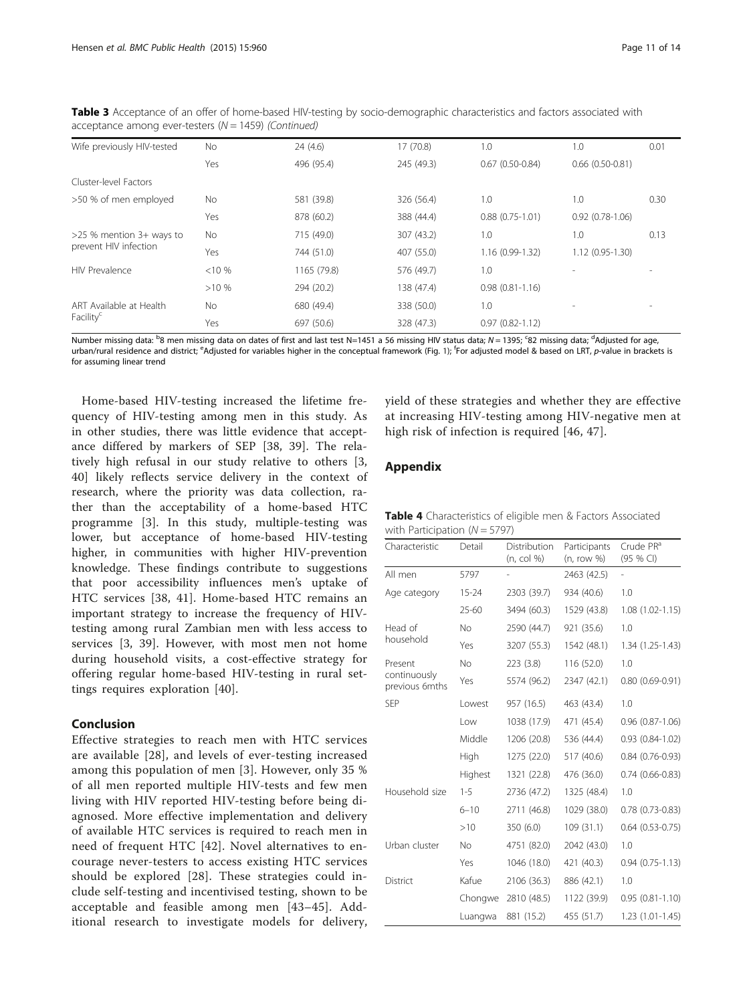| Wife previously HIV-tested | <b>No</b> | 24(4.6)     | 17 (70.8)  | 1.0                 | 1.0                 | 0.01 |
|----------------------------|-----------|-------------|------------|---------------------|---------------------|------|
|                            | Yes       | 496 (95.4)  | 245 (49.3) | $0.67(0.50-0.84)$   | $0.66(0.50-0.81)$   |      |
| Cluster-level Factors      |           |             |            |                     |                     |      |
| >50 % of men employed      | <b>No</b> | 581 (39.8)  | 326 (56.4) | 1.0                 | 1.0                 | 0.30 |
|                            | Yes       | 878 (60.2)  | 388 (44.4) | $0.88(0.75-1.01)$   | $0.92(0.78-1.06)$   |      |
| $>25$ % mention 3+ ways to | No.       | 715 (49.0)  | 307 (43.2) | 1.0                 | 1.0                 | 0.13 |
| prevent HIV infection      | Yes       | 744 (51.0)  | 407 (55.0) | 1.16 (0.99-1.32)    | $1.12(0.95 - 1.30)$ |      |
| <b>HIV Prevalence</b>      | < 10%     | 1165 (79.8) | 576 (49.7) | 1.0                 |                     |      |
|                            | >10%      | 294 (20.2)  | 138 (47.4) | $0.98(0.81 - 1.16)$ |                     |      |
| ART Available at Health    | No        | 680 (49.4)  | 338 (50.0) | 1.0                 |                     |      |
| Facility <sup>c</sup>      | Yes       | 697 (50.6)  | 328 (47.3) | $0.97(0.82 - 1.12)$ |                     |      |

<span id="page-10-0"></span>Table 3 Acceptance of an offer of home-based HIV-testing by socio-demographic characteristics and factors associated with acceptance among ever-testers ( $N = 1459$ ) (Continued)

Number missing data: <sup>b</sup>8 men missing data on dates of first and last test N=1451 a 56 missing HIV status data; N = 1395; <sup>c</sup>82 missing data; <sup>d</sup>Adjusted for age, urban/rural residence and district; <sup>e</sup>Adjusted for variables higher in the conceptual framework (Fig. [1\)](#page-2-0); <sup>f</sup>For adjusted model & based on LRT, p-value in brackets is for assuming linear trend

Home-based HIV-testing increased the lifetime frequency of HIV-testing among men in this study. As in other studies, there was little evidence that acceptance differed by markers of SEP [\[38](#page-13-0), [39\]](#page-13-0). The relatively high refusal in our study relative to others [\[3](#page-12-0), [40\]](#page-13-0) likely reflects service delivery in the context of research, where the priority was data collection, rather than the acceptability of a home-based HTC programme [\[3](#page-12-0)]. In this study, multiple-testing was lower, but acceptance of home-based HIV-testing higher, in communities with higher HIV-prevention knowledge. These findings contribute to suggestions that poor accessibility influences men's uptake of HTC services [[38, 41\]](#page-13-0). Home-based HTC remains an important strategy to increase the frequency of HIVtesting among rural Zambian men with less access to services [[3,](#page-12-0) [39](#page-13-0)]. However, with most men not home during household visits, a cost-effective strategy for offering regular home-based HIV-testing in rural settings requires exploration [[40](#page-13-0)].

## Conclusion

Effective strategies to reach men with HTC services are available [[28\]](#page-13-0), and levels of ever-testing increased among this population of men [[3\]](#page-12-0). However, only 35 % of all men reported multiple HIV-tests and few men living with HIV reported HIV-testing before being diagnosed. More effective implementation and delivery of available HTC services is required to reach men in need of frequent HTC [[42](#page-13-0)]. Novel alternatives to encourage never-testers to access existing HTC services should be explored [[28](#page-13-0)]. These strategies could include self-testing and incentivised testing, shown to be acceptable and feasible among men [[43](#page-13-0)–[45\]](#page-13-0). Additional research to investigate models for delivery, yield of these strategies and whether they are effective at increasing HIV-testing among HIV-negative men at high risk of infection is required [[46](#page-13-0), [47\]](#page-13-0).

## Appendix

| <b>Table 4</b> Characteristics of eligible men & Factors Associated |  |  |
|---------------------------------------------------------------------|--|--|
| with Participation $(N = 5797)$                                     |  |  |

| Characteristic                 | Detail    | Distribution<br>(n, col %) | Participants<br>(n, row %) | Crude PR <sup>a</sup><br>(95 % CI) |
|--------------------------------|-----------|----------------------------|----------------------------|------------------------------------|
| All men                        | 5797      |                            | 2463 (42.5)                |                                    |
| Age category                   | $15 - 24$ | 2303 (39.7)                | 934 (40.6)                 | 1.0                                |
|                                | $25 - 60$ | 3494 (60.3)                | 1529 (43.8)                | $1.08(1.02 - 1.15)$                |
| Head of                        | No.       | 2590 (44.7)                | 921 (35.6)                 | 1.0                                |
| household                      | Yes       | 3207 (55.3)                | 1542 (48.1)                | $1.34(1.25-1.43)$                  |
| Present                        | No.       | 223(3.8)                   | 116 (52.0)                 | 1.0                                |
| continuously<br>previous 6mths | Yes       | 5574 (96.2)                | 2347 (42.1)                | $0.80(0.69-0.91)$                  |
| <b>SEP</b>                     | Lowest    | 957 (16.5)                 | 463 (43.4)                 | 1.0                                |
|                                | Low       | 1038 (17.9)                | 471 (45.4)                 | $0.96(0.87-1.06)$                  |
|                                | Middle    | 1206 (20.8)                | 536 (44.4)                 | $0.93(0.84-1.02)$                  |
|                                | High      | 1275 (22.0)                | 517 (40.6)                 | $0.84(0.76-0.93)$                  |
|                                | Highest   | 1321 (22.8)                | 476 (36.0)                 | $0.74(0.66-0.83)$                  |
| Household size                 | $1 - 5$   | 2736 (47.2)                | 1325 (48.4)                | 1.0                                |
|                                | $6 - 10$  | 2711 (46.8)                | 1029 (38.0)                | $0.78(0.73-0.83)$                  |
|                                | >10       | 350 (6.0)                  | 109(31.1)                  | $0.64$ $(0.53 - 0.75)$             |
| Urban cluster                  | No.       | 4751 (82.0)                | 2042 (43.0)                | 1.0                                |
|                                | Yes       | 1046 (18.0)                | 421 (40.3)                 | $0.94(0.75-1.13)$                  |
| <b>District</b>                | Kafue     | 2106 (36.3)                | 886 (42.1)                 | 1.0                                |
|                                | Chongwe   | 2810 (48.5)                | 1122 (39.9)                | $0.95(0.81 - 1.10)$                |
|                                | Luangwa   | 881 (15.2)                 | 455 (51.7)                 | $1.23(1.01-1.45)$                  |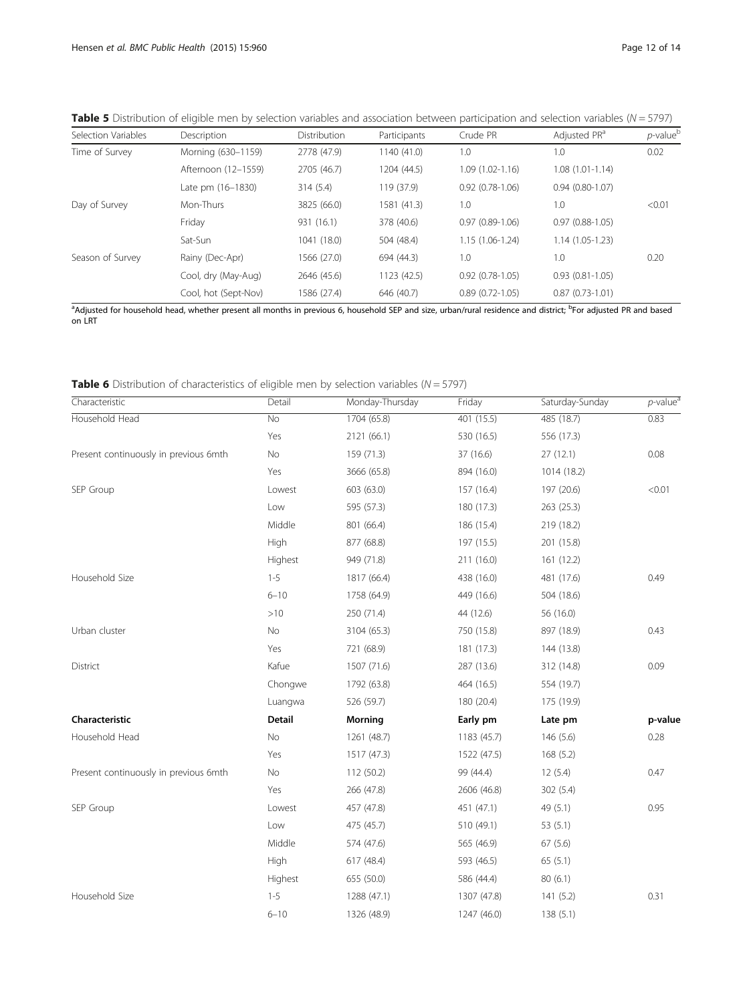| Selection Variables | Description         | <b>Distribution</b> | Participants | Crude PR            | Adjusted PR <sup>a</sup> | $p$ -value $p$ |
|---------------------|---------------------|---------------------|--------------|---------------------|--------------------------|----------------|
| Time of Survey      | Morning (630-1159)  | 2778 (47.9)         | 1140(41.0)   | 1.0                 | 1.0                      | 0.02           |
|                     | Afternoon (12-1559) | 2705 (46.7)         | 1204 (44.5)  | $1.09(1.02 - 1.16)$ | $1.08(1.01-1.14)$        |                |
|                     | Late pm (16-1830)   | 314(5.4)            | 119 (37.9)   | $0.92(0.78-1.06)$   | $0.94(0.80-1.07)$        |                |
| Day of Survey       | Mon-Thurs           | 3825 (66.0)         | 1581 (41.3)  | 1.0                 | 1.0                      | < 0.01         |
|                     | Friday              | 931 (16.1)          | 378 (40.6)   | $0.97(0.89-1.06)$   | $0.97(0.88-1.05)$        |                |

Sat-Sun 1041 (18.0) 504 (48.4) 1.15 (1.06-1.24) 1.14 (1.05-1.23)

Cool, dry (May-Aug) 2646 (45.6) 1123 (42.5) 0.92 (0.78-1.05) 0.93 (0.81-1.05) Cool, hot (Sept-Nov) 1586 (27.4) 646 (40.7) 0.89 (0.72-1.05) 0.87 (0.73-1.01)

<span id="page-11-0"></span>**Table 5** Distribution of eligible men by selection variables and association between participation and selection variables ( $N = 5797$ )

<sup>a</sup>Adjusted for household head, whether present all months in previous 6, household SEP and size, urban/rural residence and district; <sup>b</sup>For adjusted PR and based on LRT

Season of Survey Rainy (Dec-Apr) 1566 (27.0) 694 (44.3) 1.0 1.0 1.0 1.0 0.20

| <b>Table 6</b> Distribution of characteristics of eligible men by selection variables ( $N = 5797$ ) |  |  |  |  |
|------------------------------------------------------------------------------------------------------|--|--|--|--|
|------------------------------------------------------------------------------------------------------|--|--|--|--|

| Characteristic                        | Detail             | Monday-Thursday | Friday      | Saturday-Sunday | $p$ -value <sup>a</sup> |
|---------------------------------------|--------------------|-----------------|-------------|-----------------|-------------------------|
| Household Head                        | $\overline{N_{O}}$ | 1704 (65.8)     | 401 (15.5)  | 485 (18.7)      | 0.83                    |
|                                       | Yes                | 2121 (66.1)     | 530 (16.5)  | 556 (17.3)      |                         |
| Present continuously in previous 6mth | No                 | 159 (71.3)      | 37 (16.6)   | 27(12.1)        | 0.08                    |
|                                       | Yes                | 3666 (65.8)     | 894 (16.0)  | 1014 (18.2)     |                         |
| SEP Group                             | Lowest             | 603 (63.0)      | 157 (16.4)  | 197 (20.6)      | < 0.01                  |
|                                       | Low                | 595 (57.3)      | 180 (17.3)  | 263 (25.3)      |                         |
|                                       | Middle             | 801 (66.4)      | 186 (15.4)  | 219 (18.2)      |                         |
|                                       | High               | 877 (68.8)      | 197 (15.5)  | 201 (15.8)      |                         |
|                                       | Highest            | 949 (71.8)      | 211 (16.0)  | 161(12.2)       |                         |
| Household Size                        | $1 - 5$            | 1817 (66.4)     | 438 (16.0)  | 481 (17.6)      | 0.49                    |
|                                       | $6 - 10$           | 1758 (64.9)     | 449 (16.6)  | 504 (18.6)      |                         |
|                                       | >10                | 250 (71.4)      | 44 (12.6)   | 56 (16.0)       |                         |
| Urban cluster                         | No                 | 3104 (65.3)     | 750 (15.8)  | 897 (18.9)      | 0.43                    |
|                                       | Yes                | 721 (68.9)      | 181 (17.3)  | 144 (13.8)      |                         |
| District                              | Kafue              | 1507 (71.6)     | 287 (13.6)  | 312 (14.8)      | 0.09                    |
|                                       | Chongwe            | 1792 (63.8)     | 464 (16.5)  | 554 (19.7)      |                         |
|                                       | Luangwa            | 526 (59.7)      | 180 (20.4)  | 175 (19.9)      |                         |
| Characteristic                        | <b>Detail</b>      | <b>Morning</b>  | Early pm    | Late pm         | p-value                 |
| Household Head                        | No                 | 1261 (48.7)     | 1183 (45.7) | 146(5.6)        | 0.28                    |
|                                       | Yes                | 1517 (47.3)     | 1522 (47.5) | 168 (5.2)       |                         |
| Present continuously in previous 6mth | No                 | 112 (50.2)      | 99 (44.4)   | 12(5.4)         | 0.47                    |
|                                       | Yes                | 266 (47.8)      | 2606 (46.8) | 302 (5.4)       |                         |
| SEP Group                             | Lowest             | 457 (47.8)      | 451 (47.1)  | 49 (5.1)        | 0.95                    |
|                                       | Low                | 475 (45.7)      | 510 (49.1)  | 53(5.1)         |                         |
|                                       | Middle             | 574 (47.6)      | 565 (46.9)  | 67(5.6)         |                         |
|                                       | High               | 617 (48.4)      | 593 (46.5)  | 65(5.1)         |                         |
|                                       | Highest            | 655 (50.0)      | 586 (44.4)  | 80(6.1)         |                         |
| Household Size                        | $1 - 5$            | 1288 (47.1)     | 1307 (47.8) | 141(5.2)        | 0.31                    |
|                                       | $6 - 10$           | 1326 (48.9)     | 1247 (46.0) | 138(5.1)        |                         |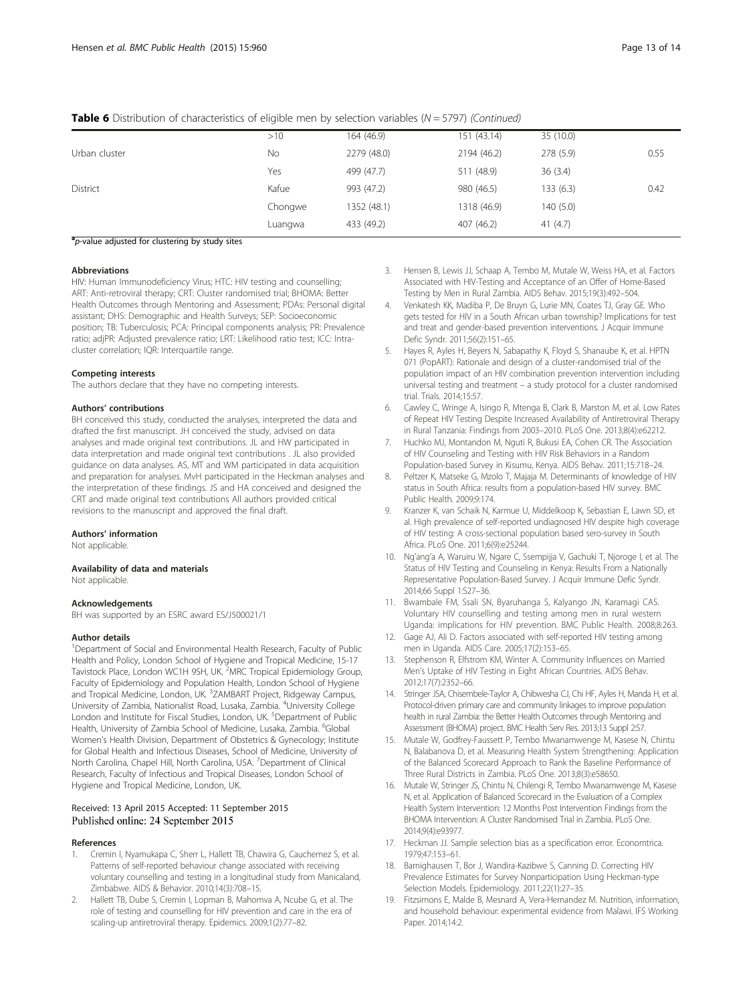<span id="page-12-0"></span>

| <b>Table 6</b> Distribution of characteristics of eligible men by selection variables ( $N = 5797$ ) (Continued) |  |
|------------------------------------------------------------------------------------------------------------------|--|
|------------------------------------------------------------------------------------------------------------------|--|

|               | >10     | 164 (46.9)  | 151 (43.14) | 35 (10.0)  |      |
|---------------|---------|-------------|-------------|------------|------|
| Urban cluster | No      | 2279 (48.0) | 2194 (46.2) | 278 (5.9)  | 0.55 |
|               | Yes     | 499 (47.7)  | 511 (48.9)  | 36(3.4)    |      |
| District      | Kafue   | 993 (47.2)  | 980 (46.5)  | 133(6.3)   | 0.42 |
|               | Chongwe | 1352 (48.1) | 1318 (46.9) | 140 (5.0)  |      |
|               | Luangwa | 433 (49.2)  | 407 (46.2)  | 41 $(4.7)$ |      |

#### a<sub>p-value adjusted for clustering by study sites</sub>

#### Abbreviations

HIV: Human Immunodeficiency Virus; HTC: HIV testing and counselling; ART: Anti-retroviral therapy; CRT: Cluster randomised trial; BHOMA: Better Health Outcomes through Mentoring and Assessment; PDAs: Personal digital assistant; DHS: Demographic and Health Surveys; SEP: Socioeconomic position; TB: Tuberculosis; PCA: Principal components analysis; PR: Prevalence ratio; adjPR: Adjusted prevalence ratio; LRT: Likelihood ratio test; ICC: Intracluster correlation; IQR: Interquartile range.

#### Competing interests

The authors declare that they have no competing interests.

#### Authors' contributions

BH conceived this study, conducted the analyses, interpreted the data and drafted the first manuscript. JH conceived the study, advised on data analyses and made original text contributions. JL and HW participated in data interpretation and made original text contributions . JL also provided guidance on data analyses. AS, MT and WM participated in data acquisition and preparation for analyses. MvH participated in the Heckman analyses and the interpretation of these findings. JS and HA conceived and designed the CRT and made original text contributions All authors provided critical revisions to the manuscript and approved the final draft.

#### Authors' information

Not applicable.

## Availability of data and materials

Not applicable

#### Acknowledgements

BH was supported by an ESRC award ES/J500021/1

#### Author details

<sup>1</sup>Department of Social and Environmental Health Research, Faculty of Public Health and Policy, London School of Hygiene and Tropical Medicine, 15-17 Tavistock Place, London WC1H 9SH, UK. <sup>2</sup>MRC Tropical Epidemiology Group, Faculty of Epidemiology and Population Health, London School of Hygiene and Tropical Medicine, London, UK. <sup>3</sup>ZAMBART Project, Ridgeway Campus, University of Zambia, Nationalist Road, Lusaka, Zambia. <sup>4</sup>University College London and Institute for Fiscal Studies, London, UK. <sup>5</sup>Department of Public Health, University of Zambia School of Medicine, Lusaka, Zambia. <sup>6</sup>Global Women's Health Division, Department of Obstetrics & Gynecology; Institute for Global Health and Infectious Diseases, School of Medicine, University of North Carolina, Chapel Hill, North Carolina, USA. <sup>7</sup>Department of Clinical Research, Faculty of Infectious and Tropical Diseases, London School of Hygiene and Tropical Medicine, London, UK.

## Received: 13 April 2015 Accepted: 11 September 2015 Published online: 24 September 2015

#### References

- 1. Cremin I, Nyamukapa C, Sherr L, Hallett TB, Chawira G, Cauchemez S, et al. Patterns of self-reported behaviour change associated with receiving voluntary counselling and testing in a longitudinal study from Manicaland, Zimbabwe. AIDS & Behavior. 2010;14(3):708–15.
- 2. Hallett TB, Dube S, Cremin I, Lopman B, Mahomva A, Ncube G, et al. The role of testing and counselling for HIV prevention and care in the era of scaling-up antiretroviral therapy. Epidemics. 2009;1(2):77–82.
- 3. Hensen B, Lewis JJ, Schaap A, Tembo M, Mutale W, Weiss HA, et al. Factors Associated with HIV-Testing and Acceptance of an Offer of Home-Based Testing by Men in Rural Zambia. AIDS Behav. 2015;19(3):492–504.
- 4. Venkatesh KK, Madiba P, De Bruyn G, Lurie MN, Coates TJ, Gray GE. Who gets tested for HIV in a South African urban township? Implications for test and treat and gender-based prevention interventions. J Acquir Immune Defic Syndr. 2011;56(2):151–65.
- 5. Hayes R, Ayles H, Beyers N, Sabapathy K, Floyd S, Shanaube K, et al. HPTN 071 (PopART): Rationale and design of a cluster-randomised trial of the population impact of an HIV combination prevention intervention including universal testing and treatment – a study protocol for a cluster randomised trial. Trials. 2014;15:57.
- 6. Cawley C, Wringe A, Isingo R, Mtenga B, Clark B, Marston M, et al. Low Rates of Repeat HIV Testing Despite Increased Availability of Antiretroviral Therapy in Rural Tanzania: Findings from 2003–2010. PLoS One. 2013;8(4):e62212.
- 7. Huchko MJ, Montandon M, Nguti R, Bukusi EA, Cohen CR. The Association of HIV Counseling and Testing with HIV Risk Behaviors in a Random Population-based Survey in Kisumu, Kenya. AIDS Behav. 2011;15:718–24.
- 8. Peltzer K, Matseke G, Mzolo T, Majaja M. Determinants of knowledge of HIV status in South Africa: results from a population-based HIV survey. BMC Public Health. 2009;9:174.
- 9. Kranzer K, van Schaik N, Karmue U, Middelkoop K, Sebastian E, Lawn SD, et al. High prevalence of self-reported undiagnosed HIV despite high coverage of HIV testing: A cross-sectional population based sero-survey in South Africa. PLoS One. 2011;6(9):e25244.
- 10. Ng'ang'a A, Waruiru W, Ngare C, Ssempijja V, Gachuki T, Njoroge I, et al. The Status of HIV Testing and Counseling in Kenya: Results From a Nationally Representative Population-Based Survey. J Acquir Immune Defic Syndr. 2014;66 Suppl 1:S27–36.
- 11. Bwambale FM, Ssali SN, Byaruhanga S, Kalyango JN, Karamagi CAS. Voluntary HIV counselling and testing among men in rural western Uganda: implications for HIV prevention. BMC Public Health. 2008;8:263.
- 12. Gage AJ, Ali D. Factors associated with self-reported HIV testing among men in Uganda. AIDS Care. 2005;17(2):153–65.
- 13. Stephenson R, Elfstrom KM, Winter A. Community Influences on Married Men's Uptake of HIV Testing in Eight African Countries. AIDS Behav. 2012;17(7):2352–66.
- 14. Stringer JSA, Chisembele-Taylor A, Chibwesha CJ, Chi HF, Ayles H, Manda H, et al. Protocol-driven primary care and community linkages to improve population health in rural Zambia: the Better Health Outcomes through Mentoring and Assessment (BHOMA) project. BMC Health Serv Res. 2013;13 Suppl 2:S7.
- 15. Mutale W, Godfrey-Faussett P, Tembo Mwanamwenge M, Kasese N, Chintu N, Balabanova D, et al. Measuring Health System Strengthening: Application of the Balanced Scorecard Approach to Rank the Baseline Performance of Three Rural Districts in Zambia. PLoS One. 2013;8(3):e58650.
- 16. Mutale W, Stringer JS, Chintu N, Chilengi R, Tembo Mwanamwenge M, Kasese N, et al. Application of Balanced Scorecard in the Evaluation of a Complex Health System Intervention: 12 Months Post Intervention Findings from the BHOMA Intervention: A Cluster Randomised Trial in Zambia. PLoS One. 2014;9(4):e93977.
- 17. Heckman JJ. Sample selection bias as a specification error. Economtrica. 1979;47:153–61.
- 18. Barnighausen T, Bor J, Wandira-Kazibwe S, Canning D. Correcting HIV Prevalence Estimates for Survey Nonparticipation Using Heckman-type Selection Models. Epidemiology. 2011;22(1):27–35.
- 19. Fitzsimons E, Malde B, Mesnard A, Vera-Hernandez M. Nutrition, information, and household behaviour: experimental evidence from Malawi. IFS Working Paper. 2014;14:2.